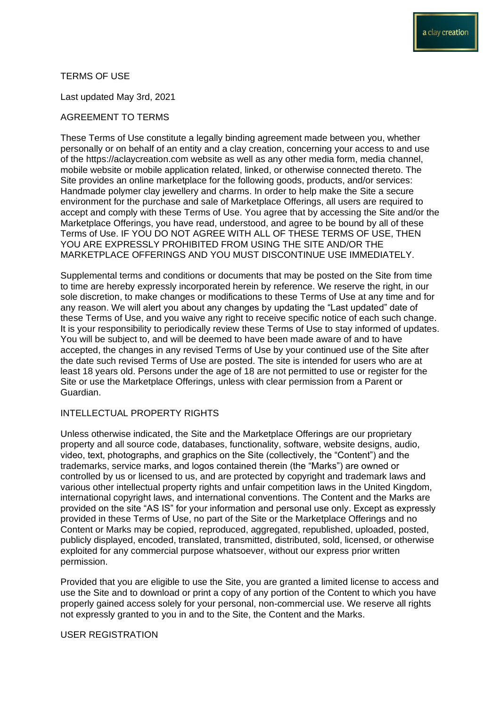### TERMS OF USE

Last updated May 3rd, 2021

### AGREEMENT TO TERMS

These Terms of Use constitute a legally binding agreement made between you, whether personally or on behalf of an entity and a clay creation, concerning your access to and use of the https://aclaycreation.com website as well as any other media form, media channel, mobile website or mobile application related, linked, or otherwise connected thereto. The Site provides an online marketplace for the following goods, products, and/or services: Handmade polymer clay jewellery and charms. In order to help make the Site a secure environment for the purchase and sale of Marketplace Offerings, all users are required to accept and comply with these Terms of Use. You agree that by accessing the Site and/or the Marketplace Offerings, you have read, understood, and agree to be bound by all of these Terms of Use. IF YOU DO NOT AGREE WITH ALL OF THESE TERMS OF USE, THEN YOU ARE EXPRESSLY PROHIBITED FROM USING THE SITE AND/OR THE MARKETPLACE OFFERINGS AND YOU MUST DISCONTINUE USE IMMEDIATELY.

Supplemental terms and conditions or documents that may be posted on the Site from time to time are hereby expressly incorporated herein by reference. We reserve the right, in our sole discretion, to make changes or modifications to these Terms of Use at any time and for any reason. We will alert you about any changes by updating the "Last updated" date of these Terms of Use, and you waive any right to receive specific notice of each such change. It is your responsibility to periodically review these Terms of Use to stay informed of updates. You will be subject to, and will be deemed to have been made aware of and to have accepted, the changes in any revised Terms of Use by your continued use of the Site after the date such revised Terms of Use are posted. The site is intended for users who are at least 18 years old. Persons under the age of 18 are not permitted to use or register for the Site or use the Marketplace Offerings, unless with clear permission from a Parent or Guardian.

# INTELLECTUAL PROPERTY RIGHTS

Unless otherwise indicated, the Site and the Marketplace Offerings are our proprietary property and all source code, databases, functionality, software, website designs, audio, video, text, photographs, and graphics on the Site (collectively, the "Content") and the trademarks, service marks, and logos contained therein (the "Marks") are owned or controlled by us or licensed to us, and are protected by copyright and trademark laws and various other intellectual property rights and unfair competition laws in the United Kingdom, international copyright laws, and international conventions. The Content and the Marks are provided on the site "AS IS" for your information and personal use only. Except as expressly provided in these Terms of Use, no part of the Site or the Marketplace Offerings and no Content or Marks may be copied, reproduced, aggregated, republished, uploaded, posted, publicly displayed, encoded, translated, transmitted, distributed, sold, licensed, or otherwise exploited for any commercial purpose whatsoever, without our express prior written permission.

Provided that you are eligible to use the Site, you are granted a limited license to access and use the Site and to download or print a copy of any portion of the Content to which you have properly gained access solely for your personal, non-commercial use. We reserve all rights not expressly granted to you in and to the Site, the Content and the Marks.

### USER REGISTRATION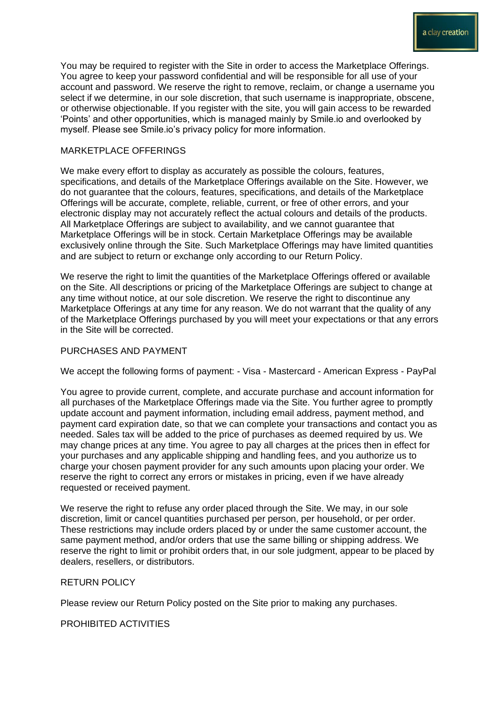You may be required to register with the Site in order to access the Marketplace Offerings. You agree to keep your password confidential and will be responsible for all use of your account and password. We reserve the right to remove, reclaim, or change a username you select if we determine, in our sole discretion, that such username is inappropriate, obscene, or otherwise objectionable. If you register with the site, you will gain access to be rewarded 'Points' and other opportunities, which is managed mainly by Smile.io and overlooked by myself. Please see Smile.io's privacy policy for more information.

## MARKETPLACE OFFERINGS

We make every effort to display as accurately as possible the colours, features, specifications, and details of the Marketplace Offerings available on the Site. However, we do not guarantee that the colours, features, specifications, and details of the Marketplace Offerings will be accurate, complete, reliable, current, or free of other errors, and your electronic display may not accurately reflect the actual colours and details of the products. All Marketplace Offerings are subject to availability, and we cannot guarantee that Marketplace Offerings will be in stock. Certain Marketplace Offerings may be available exclusively online through the Site. Such Marketplace Offerings may have limited quantities and are subject to return or exchange only according to our Return Policy.

We reserve the right to limit the quantities of the Marketplace Offerings offered or available on the Site. All descriptions or pricing of the Marketplace Offerings are subject to change at any time without notice, at our sole discretion. We reserve the right to discontinue any Marketplace Offerings at any time for any reason. We do not warrant that the quality of any of the Marketplace Offerings purchased by you will meet your expectations or that any errors in the Site will be corrected.

### PURCHASES AND PAYMENT

We accept the following forms of payment: - Visa - Mastercard - American Express - PayPal

You agree to provide current, complete, and accurate purchase and account information for all purchases of the Marketplace Offerings made via the Site. You further agree to promptly update account and payment information, including email address, payment method, and payment card expiration date, so that we can complete your transactions and contact you as needed. Sales tax will be added to the price of purchases as deemed required by us. We may change prices at any time. You agree to pay all charges at the prices then in effect for your purchases and any applicable shipping and handling fees, and you authorize us to charge your chosen payment provider for any such amounts upon placing your order. We reserve the right to correct any errors or mistakes in pricing, even if we have already requested or received payment.

We reserve the right to refuse any order placed through the Site. We may, in our sole discretion, limit or cancel quantities purchased per person, per household, or per order. These restrictions may include orders placed by or under the same customer account, the same payment method, and/or orders that use the same billing or shipping address. We reserve the right to limit or prohibit orders that, in our sole judgment, appear to be placed by dealers, resellers, or distributors.

### RETURN POLICY

Please review our Return Policy posted on the Site prior to making any purchases.

PROHIBITED ACTIVITIES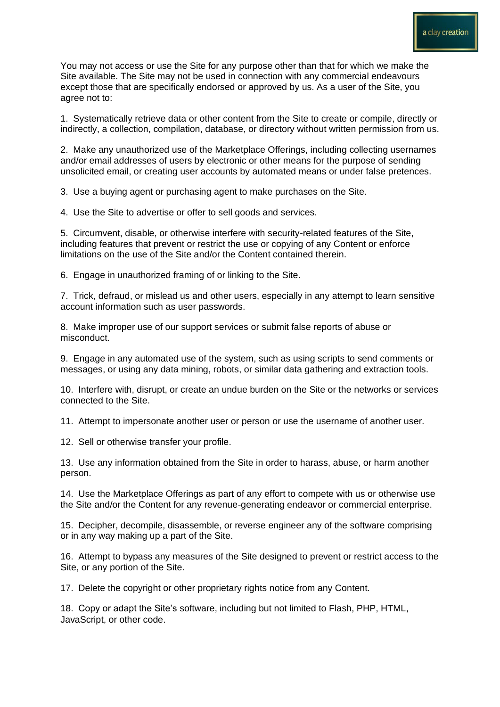You may not access or use the Site for any purpose other than that for which we make the Site available. The Site may not be used in connection with any commercial endeavours except those that are specifically endorsed or approved by us. As a user of the Site, you agree not to:

1. Systematically retrieve data or other content from the Site to create or compile, directly or indirectly, a collection, compilation, database, or directory without written permission from us.

2. Make any unauthorized use of the Marketplace Offerings, including collecting usernames and/or email addresses of users by electronic or other means for the purpose of sending unsolicited email, or creating user accounts by automated means or under false pretences.

3. Use a buying agent or purchasing agent to make purchases on the Site.

4. Use the Site to advertise or offer to sell goods and services.

5. Circumvent, disable, or otherwise interfere with security-related features of the Site, including features that prevent or restrict the use or copying of any Content or enforce limitations on the use of the Site and/or the Content contained therein.

6. Engage in unauthorized framing of or linking to the Site.

7. Trick, defraud, or mislead us and other users, especially in any attempt to learn sensitive account information such as user passwords.

8. Make improper use of our support services or submit false reports of abuse or misconduct.

9. Engage in any automated use of the system, such as using scripts to send comments or messages, or using any data mining, robots, or similar data gathering and extraction tools.

10. Interfere with, disrupt, or create an undue burden on the Site or the networks or services connected to the Site.

11. Attempt to impersonate another user or person or use the username of another user.

12. Sell or otherwise transfer your profile.

13. Use any information obtained from the Site in order to harass, abuse, or harm another person.

14. Use the Marketplace Offerings as part of any effort to compete with us or otherwise use the Site and/or the Content for any revenue-generating endeavor or commercial enterprise.

15. Decipher, decompile, disassemble, or reverse engineer any of the software comprising or in any way making up a part of the Site.

16. Attempt to bypass any measures of the Site designed to prevent or restrict access to the Site, or any portion of the Site.

17. Delete the copyright or other proprietary rights notice from any Content.

18. Copy or adapt the Site's software, including but not limited to Flash, PHP, HTML, JavaScript, or other code.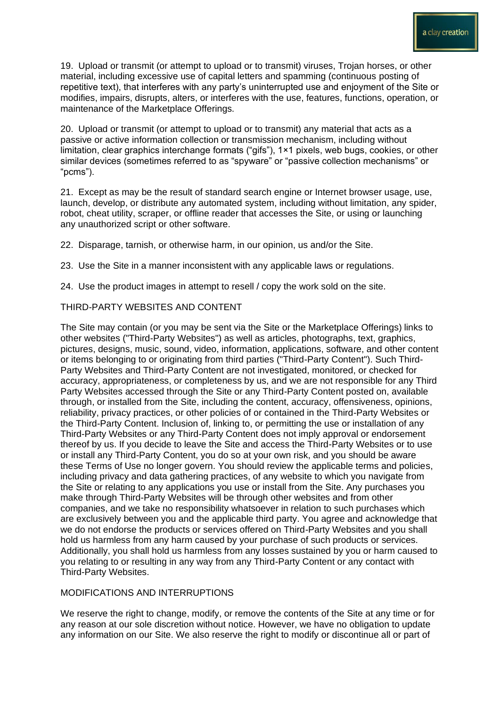19. Upload or transmit (or attempt to upload or to transmit) viruses, Trojan horses, or other material, including excessive use of capital letters and spamming (continuous posting of repetitive text), that interferes with any party's uninterrupted use and enjoyment of the Site or modifies, impairs, disrupts, alters, or interferes with the use, features, functions, operation, or maintenance of the Marketplace Offerings.

20. Upload or transmit (or attempt to upload or to transmit) any material that acts as a passive or active information collection or transmission mechanism, including without limitation, clear graphics interchange formats ("gifs"), 1×1 pixels, web bugs, cookies, or other similar devices (sometimes referred to as "spyware" or "passive collection mechanisms" or "pcms").

21. Except as may be the result of standard search engine or Internet browser usage, use, launch, develop, or distribute any automated system, including without limitation, any spider, robot, cheat utility, scraper, or offline reader that accesses the Site, or using or launching any unauthorized script or other software.

22. Disparage, tarnish, or otherwise harm, in our opinion, us and/or the Site.

23. Use the Site in a manner inconsistent with any applicable laws or regulations.

24. Use the product images in attempt to resell / copy the work sold on the site.

#### THIRD-PARTY WEBSITES AND CONTENT

The Site may contain (or you may be sent via the Site or the Marketplace Offerings) links to other websites ("Third-Party Websites") as well as articles, photographs, text, graphics, pictures, designs, music, sound, video, information, applications, software, and other content or items belonging to or originating from third parties ("Third-Party Content"). Such Third-Party Websites and Third-Party Content are not investigated, monitored, or checked for accuracy, appropriateness, or completeness by us, and we are not responsible for any Third Party Websites accessed through the Site or any Third-Party Content posted on, available through, or installed from the Site, including the content, accuracy, offensiveness, opinions, reliability, privacy practices, or other policies of or contained in the Third-Party Websites or the Third-Party Content. Inclusion of, linking to, or permitting the use or installation of any Third-Party Websites or any Third-Party Content does not imply approval or endorsement thereof by us. If you decide to leave the Site and access the Third-Party Websites or to use or install any Third-Party Content, you do so at your own risk, and you should be aware these Terms of Use no longer govern. You should review the applicable terms and policies, including privacy and data gathering practices, of any website to which you navigate from the Site or relating to any applications you use or install from the Site. Any purchases you make through Third-Party Websites will be through other websites and from other companies, and we take no responsibility whatsoever in relation to such purchases which are exclusively between you and the applicable third party. You agree and acknowledge that we do not endorse the products or services offered on Third-Party Websites and you shall hold us harmless from any harm caused by your purchase of such products or services. Additionally, you shall hold us harmless from any losses sustained by you or harm caused to you relating to or resulting in any way from any Third-Party Content or any contact with Third-Party Websites.

# MODIFICATIONS AND INTERRUPTIONS

We reserve the right to change, modify, or remove the contents of the Site at any time or for any reason at our sole discretion without notice. However, we have no obligation to update any information on our Site. We also reserve the right to modify or discontinue all or part of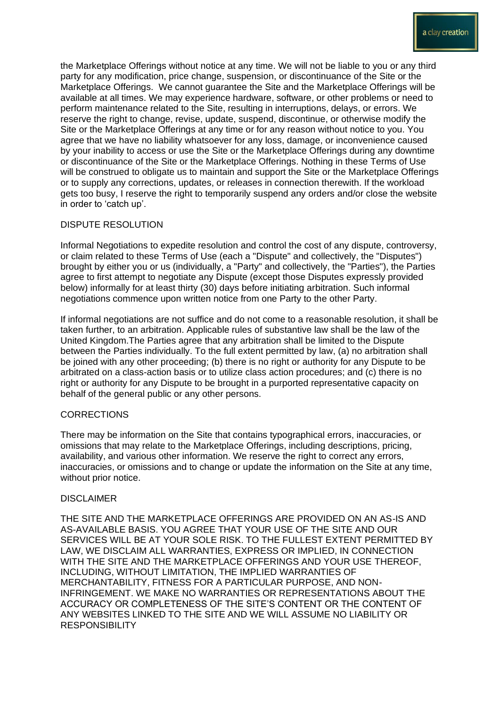the Marketplace Offerings without notice at any time. We will not be liable to you or any third party for any modification, price change, suspension, or discontinuance of the Site or the Marketplace Offerings. We cannot guarantee the Site and the Marketplace Offerings will be available at all times. We may experience hardware, software, or other problems or need to perform maintenance related to the Site, resulting in interruptions, delays, or errors. We reserve the right to change, revise, update, suspend, discontinue, or otherwise modify the Site or the Marketplace Offerings at any time or for any reason without notice to you. You agree that we have no liability whatsoever for any loss, damage, or inconvenience caused by your inability to access or use the Site or the Marketplace Offerings during any downtime or discontinuance of the Site or the Marketplace Offerings. Nothing in these Terms of Use will be construed to obligate us to maintain and support the Site or the Marketplace Offerings or to supply any corrections, updates, or releases in connection therewith. If the workload gets too busy, I reserve the right to temporarily suspend any orders and/or close the website in order to 'catch up'.

# DISPUTE RESOLUTION

Informal Negotiations to expedite resolution and control the cost of any dispute, controversy, or claim related to these Terms of Use (each a "Dispute" and collectively, the "Disputes") brought by either you or us (individually, a "Party" and collectively, the "Parties"), the Parties agree to first attempt to negotiate any Dispute (except those Disputes expressly provided below) informally for at least thirty (30) days before initiating arbitration. Such informal negotiations commence upon written notice from one Party to the other Party.

If informal negotiations are not suffice and do not come to a reasonable resolution, it shall be taken further, to an arbitration. Applicable rules of substantive law shall be the law of the United Kingdom.The Parties agree that any arbitration shall be limited to the Dispute between the Parties individually. To the full extent permitted by law, (a) no arbitration shall be joined with any other proceeding; (b) there is no right or authority for any Dispute to be arbitrated on a class-action basis or to utilize class action procedures; and (c) there is no right or authority for any Dispute to be brought in a purported representative capacity on behalf of the general public or any other persons.

### **CORRECTIONS**

There may be information on the Site that contains typographical errors, inaccuracies, or omissions that may relate to the Marketplace Offerings, including descriptions, pricing, availability, and various other information. We reserve the right to correct any errors, inaccuracies, or omissions and to change or update the information on the Site at any time, without prior notice.

### **DISCLAIMER**

THE SITE AND THE MARKETPLACE OFFERINGS ARE PROVIDED ON AN AS-IS AND AS-AVAILABLE BASIS. YOU AGREE THAT YOUR USE OF THE SITE AND OUR SERVICES WILL BE AT YOUR SOLE RISK. TO THE FULLEST EXTENT PERMITTED BY LAW, WE DISCLAIM ALL WARRANTIES, EXPRESS OR IMPLIED, IN CONNECTION WITH THE SITE AND THE MARKETPLACE OFFERINGS AND YOUR USE THEREOF, INCLUDING, WITHOUT LIMITATION, THE IMPLIED WARRANTIES OF MERCHANTABILITY, FITNESS FOR A PARTICULAR PURPOSE, AND NON-INFRINGEMENT. WE MAKE NO WARRANTIES OR REPRESENTATIONS ABOUT THE ACCURACY OR COMPLETENESS OF THE SITE'S CONTENT OR THE CONTENT OF ANY WEBSITES LINKED TO THE SITE AND WE WILL ASSUME NO LIABILITY OR **RESPONSIBILITY**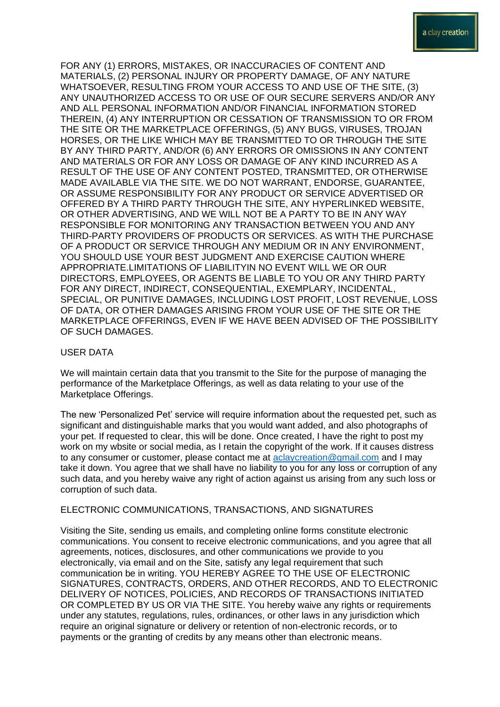FOR ANY (1) ERRORS, MISTAKES, OR INACCURACIES OF CONTENT AND MATERIALS, (2) PERSONAL INJURY OR PROPERTY DAMAGE, OF ANY NATURE WHATSOEVER, RESULTING FROM YOUR ACCESS TO AND USE OF THE SITE, (3) ANY UNAUTHORIZED ACCESS TO OR USE OF OUR SECURE SERVERS AND/OR ANY AND ALL PERSONAL INFORMATION AND/OR FINANCIAL INFORMATION STORED THEREIN, (4) ANY INTERRUPTION OR CESSATION OF TRANSMISSION TO OR FROM THE SITE OR THE MARKETPLACE OFFERINGS, (5) ANY BUGS, VIRUSES, TROJAN HORSES, OR THE LIKE WHICH MAY BE TRANSMITTED TO OR THROUGH THE SITE BY ANY THIRD PARTY, AND/OR (6) ANY ERRORS OR OMISSIONS IN ANY CONTENT AND MATERIALS OR FOR ANY LOSS OR DAMAGE OF ANY KIND INCURRED AS A RESULT OF THE USE OF ANY CONTENT POSTED, TRANSMITTED, OR OTHERWISE MADE AVAILABLE VIA THE SITE. WE DO NOT WARRANT, ENDORSE, GUARANTEE, OR ASSUME RESPONSIBILITY FOR ANY PRODUCT OR SERVICE ADVERTISED OR OFFERED BY A THIRD PARTY THROUGH THE SITE, ANY HYPERLINKED WEBSITE, OR OTHER ADVERTISING, AND WE WILL NOT BE A PARTY TO BE IN ANY WAY RESPONSIBLE FOR MONITORING ANY TRANSACTION BETWEEN YOU AND ANY THIRD-PARTY PROVIDERS OF PRODUCTS OR SERVICES. AS WITH THE PURCHASE OF A PRODUCT OR SERVICE THROUGH ANY MEDIUM OR IN ANY ENVIRONMENT, YOU SHOULD USE YOUR BEST JUDGMENT AND EXERCISE CAUTION WHERE APPROPRIATE.LIMITATIONS OF LIABILITYIN NO EVENT WILL WE OR OUR DIRECTORS, EMPLOYEES, OR AGENTS BE LIABLE TO YOU OR ANY THIRD PARTY FOR ANY DIRECT, INDIRECT, CONSEQUENTIAL, EXEMPLARY, INCIDENTAL, SPECIAL, OR PUNITIVE DAMAGES, INCLUDING LOST PROFIT, LOST REVENUE, LOSS OF DATA, OR OTHER DAMAGES ARISING FROM YOUR USE OF THE SITE OR THE MARKETPLACE OFFERINGS, EVEN IF WE HAVE BEEN ADVISED OF THE POSSIBILITY OF SUCH DAMAGES.

### USER DATA

We will maintain certain data that you transmit to the Site for the purpose of managing the performance of the Marketplace Offerings, as well as data relating to your use of the Marketplace Offerings.

The new 'Personalized Pet' service will require information about the requested pet, such as significant and distinguishable marks that you would want added, and also photographs of your pet. If requested to clear, this will be done. Once created, I have the right to post my work on my wbsite or social media, as I retain the copyright of the work. If it causes distress to any consumer or customer, please contact me at [aclaycreation@gmail.com](mailto:aclaycreation@gmail.com) and I may take it down. You agree that we shall have no liability to you for any loss or corruption of any such data, and you hereby waive any right of action against us arising from any such loss or corruption of such data.

# ELECTRONIC COMMUNICATIONS, TRANSACTIONS, AND SIGNATURES

Visiting the Site, sending us emails, and completing online forms constitute electronic communications. You consent to receive electronic communications, and you agree that all agreements, notices, disclosures, and other communications we provide to you electronically, via email and on the Site, satisfy any legal requirement that such communication be in writing. YOU HEREBY AGREE TO THE USE OF ELECTRONIC SIGNATURES, CONTRACTS, ORDERS, AND OTHER RECORDS, AND TO ELECTRONIC DELIVERY OF NOTICES, POLICIES, AND RECORDS OF TRANSACTIONS INITIATED OR COMPLETED BY US OR VIA THE SITE. You hereby waive any rights or requirements under any statutes, regulations, rules, ordinances, or other laws in any jurisdiction which require an original signature or delivery or retention of non-electronic records, or to payments or the granting of credits by any means other than electronic means.